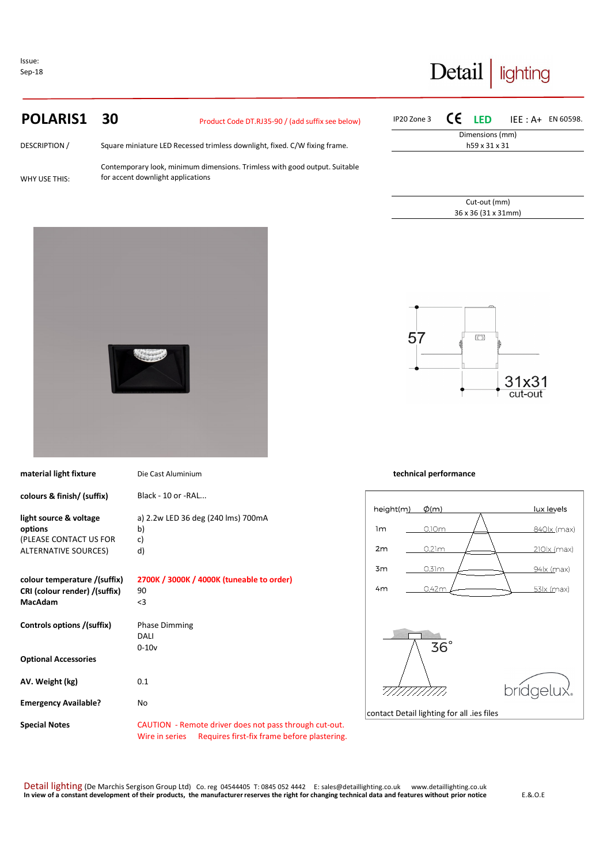Issue: Sep-18

# Detail | lighting

# **POLARIS1 30** Product Code DT.RJ35-90 / (add suffix see below)

| <b>DESCRIPTION /</b> | Square miniature LED Recessed trimless downlight, fixed. C/W fixing frame.                                      |
|----------------------|-----------------------------------------------------------------------------------------------------------------|
| WHY USE THIS:        | Contemporary look, minimum dimensions. Trimless with good output. Suitable<br>for accent downlight applications |

| IP20 Zone 3 $\mathsf{CE}$ LED IEE : A+ EN 60598. |  |                     |  |  |  |
|--------------------------------------------------|--|---------------------|--|--|--|
| Dimensions (mm)                                  |  |                     |  |  |  |
| h59 x 31 x 31                                    |  |                     |  |  |  |
|                                                  |  |                     |  |  |  |
|                                                  |  |                     |  |  |  |
|                                                  |  |                     |  |  |  |
|                                                  |  |                     |  |  |  |
|                                                  |  | Cut-out (mm)        |  |  |  |
|                                                  |  | 36 x 36 (31 x 31mm) |  |  |  |



| material light fixture                                                          | Die Cast Aluminium                                                                                                      | technical performance               |
|---------------------------------------------------------------------------------|-------------------------------------------------------------------------------------------------------------------------|-------------------------------------|
| colours & finish/ (suffix)                                                      | Black - 10 or - RAL                                                                                                     |                                     |
|                                                                                 |                                                                                                                         | height(m)<br>$\phi(m)$              |
| light source & voltage<br>options                                               | a) 2.2w LED 36 deg (240 lms) 700mA<br>b)                                                                                | 1m<br>0.10m                         |
| (PLEASE CONTACT US FOR<br><b>ALTERNATIVE SOURCES)</b>                           | c)<br>d)                                                                                                                | 2m<br>0.21m                         |
|                                                                                 |                                                                                                                         | 3m<br>0.31m                         |
| colour temperature /(suffix)<br>CRI (colour render) /(suffix)<br><b>MacAdam</b> | 2700K / 3000K / 4000K (tuneable to order)<br>90<br>$<$ 3                                                                | 4 <sub>m</sub><br>0.42r             |
| Controls options /(suffix)                                                      | <b>Phase Dimming</b>                                                                                                    |                                     |
|                                                                                 | DALI                                                                                                                    |                                     |
| <b>Optional Accessories</b>                                                     | $0 - 10v$                                                                                                               | $36^\circ$                          |
| AV. Weight (kg)                                                                 | 0.1                                                                                                                     |                                     |
| <b>Emergency Available?</b>                                                     | No                                                                                                                      | contact Detail lighting for all .ie |
| <b>Special Notes</b>                                                            | CAUTION - Remote driver does not pass through cut-out.<br>Requires first-fix frame before plastering.<br>Wire in series |                                     |